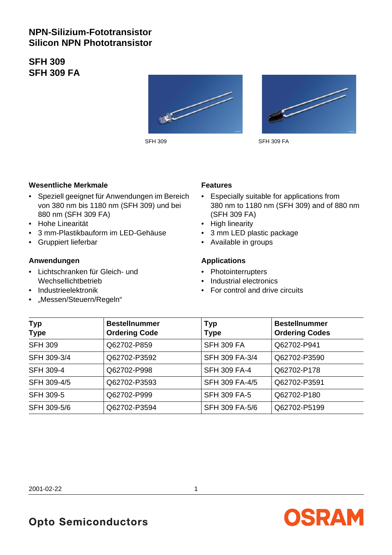# **NPN-Silizium-Fototransistor Silicon NPN Phototransistor**

**SFH 309 SFH 309 FA**





SFH 309 SFH 309 FA

#### **Wesentliche Merkmale**

- Speziell geeignet für Anwendungen im Bereich von 380 nm bis 1180 nm (SFH 309) und bei 880 nm (SFH 309 FA)
- Hohe Linearität
- 3 mm-Plastikbauform im LED-Gehäuse
- Gruppiert lieferbar

### **Anwendungen**

- Lichtschranken für Gleich- und Wechsellichtbetrieb
- Industrieelektronik
- "Messen/Steuern/Regeln"

#### **Features**

- Especially suitable for applications from 380 nm to 1180 nm (SFH 309) and of 880 nm (SFH 309 FA)
- High linearity
- 3 mm LED plastic package
- Available in groups

### **Applications**

- Photointerrupters
- Industrial electronics
- For control and drive circuits

| <b>Typ</b><br><b>Type</b> | <b>Bestellnummer</b><br><b>Ordering Code</b> | <b>Typ</b><br><b>Type</b> | <b>Bestellnummer</b><br><b>Ordering Codes</b> |  |  |
|---------------------------|----------------------------------------------|---------------------------|-----------------------------------------------|--|--|
| <b>SFH 309</b>            | Q62702-P859                                  | <b>SFH 309 FA</b>         | Q62702-P941                                   |  |  |
| SFH 309-3/4               | Q62702-P3592                                 | SFH 309 FA-3/4            | Q62702-P3590                                  |  |  |
| <b>SFH 309-4</b>          | Q62702-P998                                  | <b>SFH 309 FA-4</b>       | Q62702-P178                                   |  |  |
| SFH 309-4/5               | Q62702-P3593                                 | SFH 309 FA-4/5            | Q62702-P3591                                  |  |  |
| <b>SFH 309-5</b>          | Q62702-P999                                  | <b>SFH 309 FA-5</b>       | Q62702-P180                                   |  |  |
| SFH 309-5/6               | Q62702-P3594                                 | SFH 309 FA-5/6            | Q62702-P5199                                  |  |  |

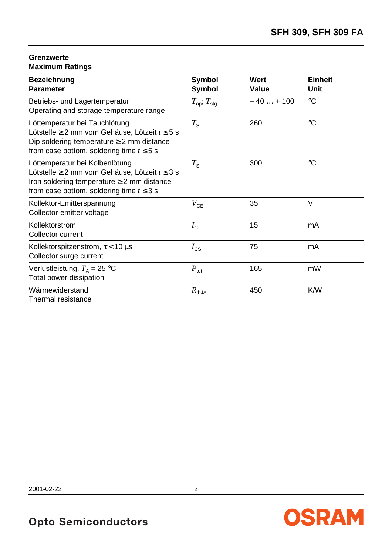# **Grenzwerte Maximum Ratings**

| <b>Bezeichnung</b><br><b>Parameter</b>                                                                                                                                                        | <b>Symbol</b><br><b>Symbol</b>      | Wert<br>Value | <b>Einheit</b><br><b>Unit</b> |
|-----------------------------------------------------------------------------------------------------------------------------------------------------------------------------------------------|-------------------------------------|---------------|-------------------------------|
| Betriebs- und Lagertemperatur<br>Operating and storage temperature range                                                                                                                      | $T_{\text{op}}$ ; $T_{\text{stag}}$ | $-40+100$     | $\rm ^{\circ}C$               |
| Löttemperatur bei Tauchlötung<br>Lötstelle $\geq 2$ mm vom Gehäuse, Lötzeit $t \leq 5$ s<br>Dip soldering temperature $\geq 2$ mm distance<br>from case bottom, soldering time $t \leq 5$ s   | $T_{\rm S}$                         | 260           | $\rm ^{\circ}C$               |
| Löttemperatur bei Kolbenlötung<br>Lötstelle $\geq 2$ mm vom Gehäuse, Lötzeit $t \leq 3$ s<br>Iron soldering temperature $\geq 2$ mm distance<br>from case bottom, soldering time $t \leq 3$ s | $T_{\rm S}$                         | 300           | $\rm ^{\circ}C$               |
| Kollektor-Emitterspannung<br>Collector-emitter voltage                                                                                                                                        | $V_{CE}$                            | 35            | $\vee$                        |
| Kollektorstrom<br>Collector current                                                                                                                                                           | $I_{\rm C}$                         | 15            | mA                            |
| Kollektorspitzenstrom, $\tau$ < 10 µs<br>Collector surge current                                                                                                                              | $I_{\text{CS}}$                     | 75            | mA                            |
| Verlustleistung, $T_A = 25$ °C<br>Total power dissipation                                                                                                                                     | $P_{\text{tot}}$                    | 165           | mW                            |
| Wärmewiderstand<br>Thermal resistance                                                                                                                                                         | $R_{thJA}$                          | 450           | K/W                           |

2001-02-22 2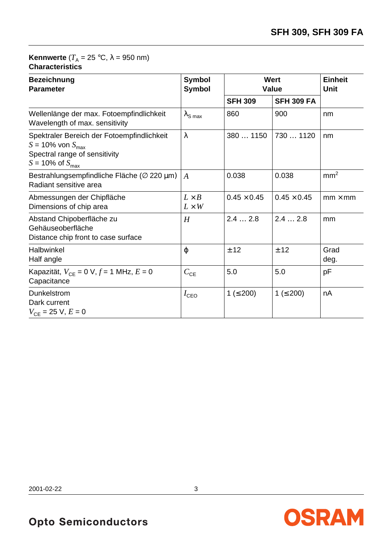## **Kennwerte** ( $T_A = 25$  °C,  $\lambda = 950$  nm) **Characteristics**

| <b>Bezeichnung</b><br><b>Parameter</b>                                                                                                           | <b>Symbol</b><br><b>Symbol</b> | <b>Wert</b><br><b>Value</b> | <b>Einheit</b><br><b>Unit</b> |                 |
|--------------------------------------------------------------------------------------------------------------------------------------------------|--------------------------------|-----------------------------|-------------------------------|-----------------|
|                                                                                                                                                  |                                | <b>SFH 309</b>              | <b>SFH 309 FA</b>             |                 |
| Wellenlänge der max. Fotoempfindlichkeit<br>Wavelength of max. sensitivity                                                                       | $\lambda_{\text{S max}}$       | 860                         | 900                           | nm              |
| Spektraler Bereich der Fotoempfindlichkeit<br>$S = 10\%$ von $S_{\text{max}}$<br>Spectral range of sensitivity<br>$S = 10\%$ of $S_{\text{max}}$ | $\lambda$                      | 380  1150                   | 730  1120                     | nm              |
| Bestrahlungsempfindliche Fläche ( $\varnothing$ 220 µm)<br>Radiant sensitive area                                                                | A                              | 0.038                       | 0.038                         | mm <sup>2</sup> |
| Abmessungen der Chipfläche<br>Dimensions of chip area                                                                                            | $L \times B$<br>$L \times W$   | $0.45 \times 0.45$          | $0.45 \times 0.45$            | $mm \times mm$  |
| Abstand Chipoberfläche zu<br>Gehäuseoberfläche<br>Distance chip front to case surface                                                            | H                              | 2.42.8                      | 2.42.8                        | mm              |
| Halbwinkel<br>Half angle                                                                                                                         | φ                              | ± 12                        | ± 12                          | Grad<br>deg.    |
| Kapazität, $V_{CE} = 0$ V, $f = 1$ MHz, $E = 0$<br>Capacitance                                                                                   | $C_{CE}$                       | 5.0                         | 5.0                           | pF              |
| <b>Dunkelstrom</b><br>Dark current<br>$V_{CE}$ = 25 V, $E$ = 0                                                                                   | $I_{\text{CEO}}$               | 1 ( $\leq$ 200)             | $1 ( \le 200)$                | nA              |

2001-02-22 3

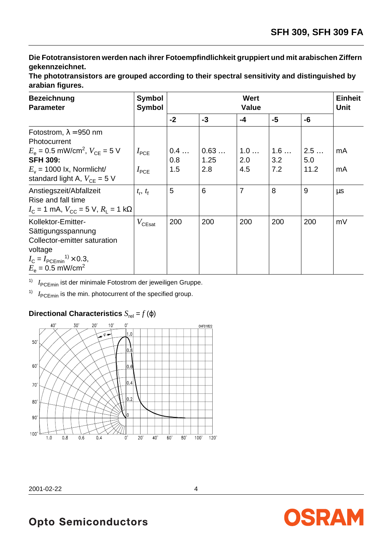**Die Fototransistoren werden nach ihrer Fotoempfindlichkeit gruppiert und mit arabischen Ziffern gekennzeichnet.**

| <b>Bezeichnung</b><br><b>Parameter</b>                                                                              | <b>Symbol</b><br><b>Symbol</b> | Wert<br><b>Value</b> |              |                |            |            | <b>Einheit</b><br><b>Unit</b> |
|---------------------------------------------------------------------------------------------------------------------|--------------------------------|----------------------|--------------|----------------|------------|------------|-------------------------------|
|                                                                                                                     |                                | $-2$                 | $-3$         | $-4$           | $-5$       | -6         |                               |
| Fotostrom, $\lambda = 950$ nm<br><b>Photocurrent</b>                                                                |                                |                      |              |                |            |            |                               |
| $E_e = 0.5$ mW/cm <sup>2</sup> , $V_{CF} = 5$ V<br><b>SFH 309:</b>                                                  | $I_{PCE}$                      | 0.4<br>0.8           | 0.63<br>1.25 | 1.0<br>2.0     | 1.6<br>3.2 | 2.5<br>5.0 | mA                            |
| $E_v$ = 1000 lx, Normlicht/<br>standard light A, $V_{CF}$ = 5 V                                                     | $I_{PCE}$                      | 1.5                  | 2.8          | 4.5            | 7.2        | 11.2       | mA                            |
| Anstiegszeit/Abfallzeit<br>Rise and fall time<br>$I_{\rm C}$ = 1 mA, $V_{\rm CC}$ = 5 V, $R_{\rm I}$ = 1 k $\Omega$ | $t_{\rm r}$ , $t_{\rm f}$      | 5                    | 6            | $\overline{7}$ | 8          | 9          | μs                            |
| Kollektor-Emitter-<br>Sättigungsspannung<br>Collector-emitter saturation                                            | $V_{\mathsf{C}$ Esat           | 200                  | 200          | 200            | 200        | 200        | mV                            |
| voltage<br>$I_{\rm C} = I_{\rm PCEmin}^{3}$ $\times$ 0.3,<br>$E_e = 0.5$ mW/cm <sup>2</sup>                         |                                |                      |              |                |            |            |                               |

**The phototransistors are grouped according to their spectral sensitivity and distinguished by arabian figures.**

<sup>1)</sup> *I*<sub>PCEmin</sub> ist der minimale Fotostrom der jeweiligen Gruppe.

<sup>1)</sup>  $I_{\text{PCEmin}}$  is the min. photocurrent of the specified group.

# **Directional Characteristics**  $S_{rel} = f(\phi)$



2001-02-22 4



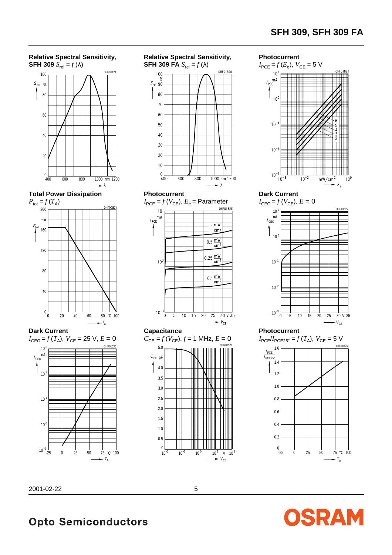



**Total Power Dissipation**









**Dark Current**



#### **Photocurrent**

 $I_{\text{PCE}}/I_{\text{PCE25}} = f(T_A)$ ,  $V_{\text{CE}} = 5$  V



OSRAM



**Opto Semiconductors** 

V CE

 $10^{-1}$   $10^{0}$   $10^{1}$  V  $10^{2}$ 

OHF01528

cm

cm

 $0.25 \frac{mW}{2m}$ 

0.1 $\frac{mW}{2m^2}$ cm<sup>2</sup>

 $15$  20 25 30 V 35

 $- V_{CE}$ 

**Capacitance**

 $10^{-1}$ <sub>0</sub>

 $10<sup>0</sup>$ 

5.0

 $C_{CE}$  pF

 $10^{-2}$ 

 $\Omega$ 0.5 1.0 1.5 2.0 2.5 3.0 3.5 4.0

 $C_{CE} = f(V_{CE}), f = 1$  MHz,  $E = 0$ 

 $\overline{10}$ 

 $\overline{5}$